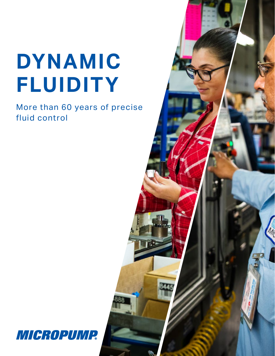# **DYNAMIC FLUIDITY**

More than 60 years of precise fluid control



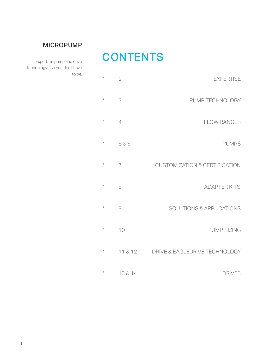### MICROPUMP

## **CONTENTS**

Experts in pump and drive technology - so you don't have to be.

| <b>EXPERTISE</b>                         | $\overline{2}$ | $^{\star}$ |
|------------------------------------------|----------------|------------|
| PUMP TECHNOLOGY                          | 3              | $\star$    |
| <b>FLOW RANGES</b>                       | $\overline{4}$ | $^\star$   |
| <b>PUMPS</b>                             | 5&6            | $^\star$   |
| <b>CUSTOMIZATION &amp; CERTIFICATION</b> | $\overline{7}$ | $^{\star}$ |
| <b>ADAPTER KITS</b>                      | 8              | $^\star$   |
| <b>SOLUTIONS &amp; APPLICATIONS</b>      | 9              | $^\star$   |
| <b>PUMP SIZING</b>                       | 10             | $^\star$   |
| DRIVE & EAGLEDRIVE TECHNOLOGY            | 11 & 12        | $^\star$   |
| <b>DRIVES</b>                            | 13 & 14        | $^\star$   |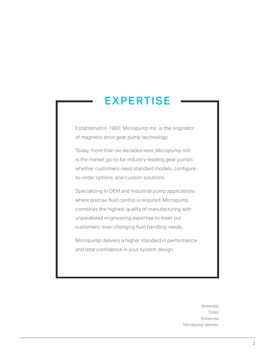## EXPERTISE

Established in 1960, Micropump Inc. is the originator of magnetic drive gear pump technology.

Today, more than six decades later, Micropump still is the market go-to for industry-leading gear pumps whether customers need standard models, configureto-order options, and custom solutions.

Specializing in OEM and industrial pump applications where precise fluid control is required, Micropump combines the highest quality of manufacturing with unparalleled engineering expertise to meet our customers' ever-changing fluid handling needs.

Micropump delivers a higher standard in performance and total confidence in your system design.

> Yesterday Today Tomorrow Micropump delivers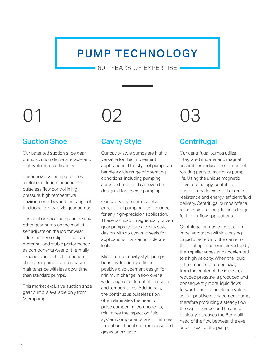## PUMP TECHNOLOGY

60+ YEARS OF EXPERTISE

## Suction Shoe

Our patented suction shoe gear pump solution delivers reliable and high-volumetric efficiency.

This innovative pump provides a reliable solution for accurate, pulseless flow control in high pressure, high temperature environments beyond the range of traditional cavity-style gear pumps.

The suction shoe pump, unlike any other gear pump on the market, self adjusts on the job for wear, offers near zero slip for accurate metering, and stable performance as components wear or thermally expand. Due to this the suction shoe gear pump features easier maintenance with less downtime than standard pumps.

This market exclusive suction shoe gear pump is available only from Micropump.



## Cavity Style

Our cavity style pumps are highly versatile for fluid movement applications. This style of pump can handle a wide range of operating conditions, including pumping abrasive fluids, and can even be designed for reverse pumping.

Our cavity style pumps deliver exceptional pumping performance for any high-precision application. These compact, magnetically driven gear pumps feature a cavity style design with no dynamic seals for applications that cannot tolerate leaks.

Micropump's cavity style pumps boast hydraulically efficient positive displacement design for minimum change in flow over a wide range of differential pressures and temperatures. Additionally, the continuous pulseless flow often eliminates the need for pulse dampening components, minimizes the impact on fluid system components, and minimizes formation of bubbles from dissolved gases or cavitation.



## **Centrifugal**

Our centrifugal pumps utilize integrated impeller and magnet assemblies reduce the number of rotating parts to maximize pump life. Using the unique magnetic drive technology, centrifugal pumps provide excellent chemical resistance and energy-efficient fluid delivery. Centrifugal pumps offer a reliable, simple, long-lasting design for higher flow applications.

Centrifugal pumps consist of an impeller rotating within a casing. Liquid directed into the center of the rotating impeller is picked up by the impeller vanes and accelerated to a high velocity. When the liquid in the impeller is forced away from the center of the impeller, a reduced pressure is produced and consequently more liquid flows forward. There is no closed volume, as in a positive displacement pump, therefore producing a steady flow through the impeller. The pump basically increases the Bernoulli head of the flow between the eye and the exit of the pump.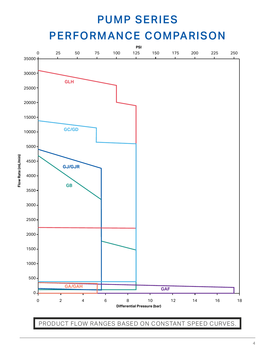## PUMP SERIES

## PERFORMANCE COMPARISON



PRODUCT FLOW RANGES BASED ON CONSTANT SPEED CURVES.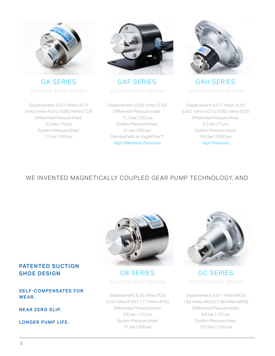

SUCTION SHOE DESIGN SUCTION SHOE DESIGN SUCTION SHOE DESIGN

Displacement: 0.017 ml/rev (X21) 0.042 ml/rev (V21) | 0.092 ml/rev (T23) Differential Pressure (max): 5.2 bar | 75 psi System Pressure (max): 21 bar | 300 psi



GA SERIES GAF SERIES GAH SERIES

Displacement: 0.092 ml/rev (T23) Differential Pressure (max): 17.2 bar | 250 psi System Pressure (max): 21 bar | 300 psi Standard with an EagleDrive™ High Differential Pressures



Displacement: 0.017 ml/rev (X21) 0.042 ml/rev (V21) | 0.092 ml/rev (T23) Differential Pressure (max): 5.2 bar | 75 psi System Pressure (max): 345 bar | 5000 psi **High Pressures** 

### WE INVENTED MAGNETICALLY COUPLED GEAR PUMP TECHNOLOGY, AND

### PATENTED SUCTION SHOE DESIGN

### SELF- COMPENSATES FOR WEAR.

NEAR ZERO SLIP.

LONGER PUMP LIFE.



GB SERIES GC SERIES SUCTION SHOE DESIGN SUCTION SHOE DESIGN

Displacement: 0.26 ml/rev (P23) 0.58 ml/rev (P25) | 1.17 ml/rev (P35) Differential Pressure (max): 8.6 bar | 125 psi System Pressure (max): 21 bar | 300 psi



Displacement: 0.811 ml/rev (M23) 1.82 ml/rev (M25) | 3.48 ml/rev (M35)) Differential Pressure (max): 8.6 bar | 125 psi System Pressure (max): 103 bar | 1500 psi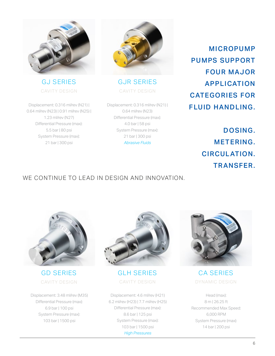

Displacement: 0.316 ml/rev (N21) | 0.64 ml/rev (N23) | 0.91 ml/rev (N25) | 1.23 ml/rev (N27) Differential Pressure (max): 5.5 bar | 80 psi System Pressure (max): 21 bar | 300 psi



GJ SERIES GJR SERIES CAVITY DESIGN CAVITY DESIGN

> Displacement: 0.316 ml/rev (N21) | 0.64 ml/rev (N23) Differential Pressure (max): 4.0 bar | 58 psi System Pressure (max): 21 bar | 300 psi Abrasive Fluids

MICROPUMP PUMPS SUPPORT FOUR MAJOR APPLICATION CATEGORIES FOR FLUID HANDLING.

> DOSING. METERING. CIRCUL ATION. TRANSFER.

### WE CONTINUE TO LEAD IN DESIGN AND INNOVATION.



Displacement: 3.48 ml/rev (M35) Differential Pressure (max): 6.9 bar | 100 psi System Pressure (max): 103 bar | 1500 psi



GD SERIES GLH SERIES CAVITY DESIGN CAVITY DESIGN

Displacement: 4.6 ml/rev (H21) 6.2 ml/rev (H23) | 7.7 ml/rev (H25) Differential Pressure (max): 8.6 bar | 125 psi System Pressure (max): 103 bar | 1500 psi High Pressures



CA SERIES DYNAMIC DESIGN

Head (max): 8 m | 26.25 ft Recommended Max Speed: 6,000 RPM System Pressure (max): 14 bar | 200 psi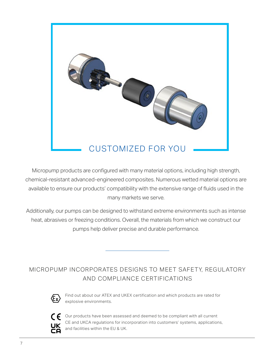

Micropump products are configured with many material options, including high strength, chemical-resistant advanced-engineered composites. Numerous wetted material options are available to ensure our products' compatibility with the extensive range of fluids used in the many markets we serve.

Additionally, our pumps can be designed to withstand extreme environments such as intense heat, abrasives or freezing conditions. Overall, the materials from which we construct our pumps help deliver precise and durable performance.

MICROPUMP INCORPORATES DESIGNS TO MEET SAFETY, REGULATORY AND COMPLIANCE CERTIFICATIONS



Find out about our ATEX and UKEX certification and which products are rated for explosive environments.



Our products have been assessed and deemed to be compliant with all current CE and UKCA regulations for incorporation into customers' systems, applications, and facilities within the EU & UK.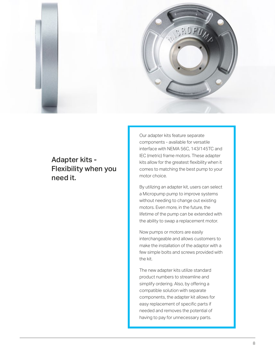

## Adapter kits - Flexibility when you need it.

Our adapter kits feature separate components - available for versatile interface with NEMA 56C, 143/145TC and IEC (metric) frame motors. These adapter kits allow for the greatest flexibility when it comes to matching the best pump to your motor choice.

By utilizing an adapter kit, users can select a Micropump pump to improve systems without needing to change out existing motors. Even more, in the future, the lifetime of the pump can be extended with the ability to swap a replacement motor.

Now pumps or motors are easily interchangeable and allows customers to make the installation of the adaptor with a few simple bolts and screws provided with the kit.

The new adapter kits utilize standard product numbers to streamline and simplify ordering. Also, by offering a compatible solution with separate components, the adapter kit allows for easy replacement of specific parts if needed and removes the potential of having to pay for unnecessary parts.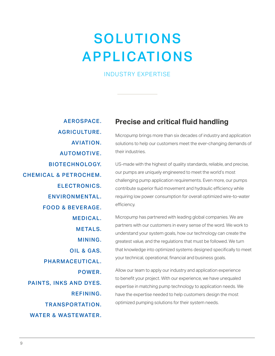## SOLUTIONS APPLICATIONS

### INDUSTRY EXPERTISE

- AEROSPACE.
- AGRICULTURE.
- AVIATION.
- AUTOMOTIVE.
- BIOTECHNOLOGY.
- CHEMICAL & PETROCHEM.
	- ELECTRONICS.
		- ENVIRONMENTAL.
	- FOOD & BEVERAGE.
		- MEDICAL.
			- METALS.
			- MINING.
		- OIL & GAS.
	- PHARMACEUTICAL.
		- POWER.
	- PAINTS, INKS AND DYES.
		- REFINING.
		- TR ANSPORTATION.
	- WATER & WASTEWATER.

## **Precise and critical fluid handling**

Micropump brings more than six decades of industry and application solutions to help our customers meet the ever-changing demands of their industries.

US-made with the highest of quality standards, reliable, and precise, our pumps are uniquely engineered to meet the world's most challenging pump application requirements. Even more, our pumps contribute superior fluid movement and hydraulic efficiency while requiring low power consumption for overall optimized wire-to-water efficiency.

Micropump has partnered with leading global companies. We are partners with our customers in every sense of the word. We work to understand your system goals, how our technology can create the greatest value, and the regulations that must be followed. We turn that knowledge into optimized systems designed specifically to meet your technical, operational, financial and business goals.

Allow our team to apply our industry and application experience to benefit your project. With our experience, we have unequaled expertise in matching pump technology to application needs. We have the expertise needed to help customers design the most optimized pumping solutions for their system needs.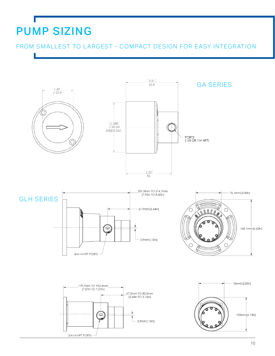## PUMP SIZING

FROM SMALLEST TO LARGEST - COMPACT DESIGN FOR EASY INTEGRATION

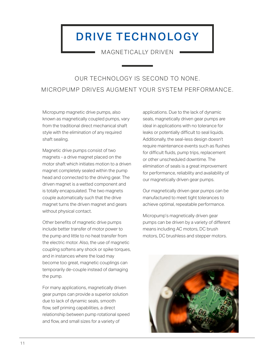## DRIVE TECHNOLOGY

MAGNETICALLY DRIVEN

## OUR TECHNOLOGY IS SECOND TO NONE. MICROPUMP DRIVES AUGMENT YOUR SYSTEM PERFORMANCE.

Micropump magnetic drive pumps, also known as magnetically coupled pumps, vary from the traditional direct mechanical shaft style with the elimination of any required shaft sealing.

Magnetic drive pumps consist of two magnets - a drive magnet placed on the motor shaft which initiates motion to a driven magnet completely sealed within the pump head and connected to the driving gear. The driven magnet is a wetted component and is totally encapsulated. The two magnets couple automatically such that the drive magnet turns the driven magnet and gears without physical contact.

Other benefits of magnetic drive pumps include better transfer of motor power to the pump and little to no heat transfer from the electric motor. Also, the use of magnetic coupling softens any shock or spike torques, and in instances where the load may become too great, magnetic couplings can temporarily de-couple instead of damaging the pump.

For many applications, magnetically driven gear pumps can provide a superior solution due to lack of dynamic seals, smooth flow, self priming capabilities, a direct relationship between pump rotational speed and flow, and small sizes for a variety of

applications. Due to the lack of dynamic seals, magnetically driven gear pumps are ideal in applications with no tolerance for leaks or potentially difficult to seal liquids. Additionally, the seal-less design doesn't require maintenance events such as flushes for difficult fluids, pump trips, replacement or other unscheduled downtime. The elimination of seals is a great improvement for performance, reliability and availability of our magnetically driven gear pumps.

Our magnetically driven gear pumps can be manufactured to meet tight tolerances to achieve optimal, repeatable performance.

Micropump's magnetically driven gear pumps can be driven by a variety of different means including AC motors, DC brush motors, DC brushless and stepper motors.

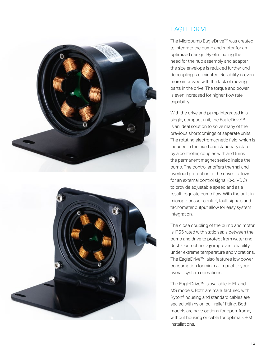



### EAGLE DRIVE

The Micropump EagleDrive™ was created to integrate the pump and motor for an optimized design. By eliminating the need for the hub assembly and adapter, the size envelope is reduced further and decoupling is eliminated. Reliability is even more improved with the lack of moving parts in the drive. The torque and power is even increased for higher flow rate capability.

With the drive and pump integrated in a single, compact unit, the EagleDrive™ is an ideal solution to solve many of the previous shortcomings of separate units. The rotating electromagnetic field, which is induced in the fixed and stationary stator by a controller, couples with and turns the permanent magnet sealed inside the pump. The controller offers thermal and overload protection to the drive. It allows for an external control signal (0-5 VDC) to provide adjustable speed and as a result, regulate pump flow. With the built-in microprocessor control, fault signals and tachometer output allow for easy system integration.

The close coupling of the pump and motor is IP55 rated with static seals between the pump and drive to protect from water and dust. Our technology improves reliability under extreme temperature and vibrations. The EagleDrive™ also features low power consumption for minimal impact to your overall system operations.

The EagleDrive™ is available in EL and MS models. Both are manufactured with Ryton® housing and standard cables are sealed with nylon pull-relief fitting. Both models are have options for open-frame, without housing or cable for optimal OEM installations.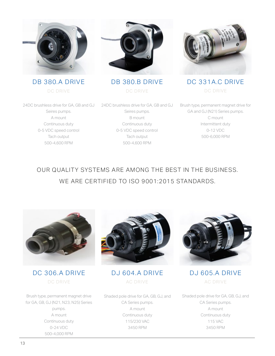





DC DRIVE DC DRIVE DE DE DE DRIVE



DB 380.A DRIVE DB 380.B DRIVE DC 331A.C DRIVE

24DC brushless drive for GA, GB and GJ 24DC brushless drive for GA, GB and GJ Seires pumps. A mount Continuous duty 0-5 VDC speed control Tach output 500-4,600 RPM

Seires pumps. B mount Continuous duty 0-5 VDC speed control Tach output 500-4,600 RPM

Brush type, permanent magnet drive for GA and GJ (N21) Series pumps. C mount Intermittent duty 0-12 VDC 500-6,000 RPM

## OUR QUALITY SYSTEMS ARE AMONG THE BEST IN THE BUSINESS. WE ARE CERTIFIED TO ISO 9001:2015 STANDARDS.



DC 306.A DRIVE DJ 604.A DRIVE DC DRIVE AC DRIVE

Brush type, permanent magnet drive for GA, GB, GJ (N21, N23, N25) Series pumps. A mount Continuous duty 0-24 VDC 500-4,000 RPM



Shaded pole drive for GA, GB, GJ, and CA Series pumps. A mount Continuous duty 115/230 VAC 3450 RPM



DJ 605.A DRIVE AC DRIVE

Shaded pole drive for GA, GB, GJ, and CA Series pumps. A mount Continuous duty 115 VAC 3450 RPM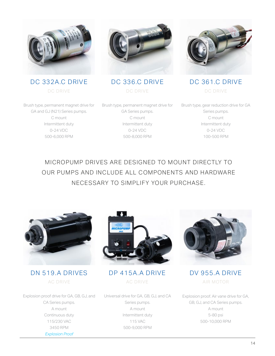

DC 332A.C DRIVE DC 336.C DRIVE DC 361.C DRIVE



DC DRIVE DC DRIVE DE DE DE DRIVE



Brush type, permanent magnet drive for GA and GJ (N21) Series pumps. C mount Intermittent duty 0-24 VDC 500-6,000 RPM

Brush type, permanent magnet drive for GA Series pumps. C mount Intermittent duty 0-24 VDC 500-8,000 RPM

Brush type, gear reduction drive for GA Series pumps. C mount Intermittent duty 0-24 VDC 100-500 RPM

MICROPUMP DRIVES ARE DESIGNED TO MOUNT DIRECTLY TO OUR PUMPS AND INCLUDE ALL COMPONENTS AND HARDWARE NECESSARY TO SIMPLIFY YOUR PURCHASE.



DN 519.A DRIVES DP 415A.A DRIVE AC DRIVE AC DRIVE

Explosion proof drive for GA, GB, GJ, and CA Series pumps. A mount Continuous duty 115/230 VAC 3450 RPM Explosion Proof



Universal drive for GA, GB, GJ, and CA Series pumps. A mount Intermittent duty 115 VAC 500-9,000 RPM



DV 955.A DRIVE AIR MOTOR

Explosion proof. Air vane drive for GA, GB, GJ, and CA Series pumps. A mount 5-80 psi 500-10,000 RPM